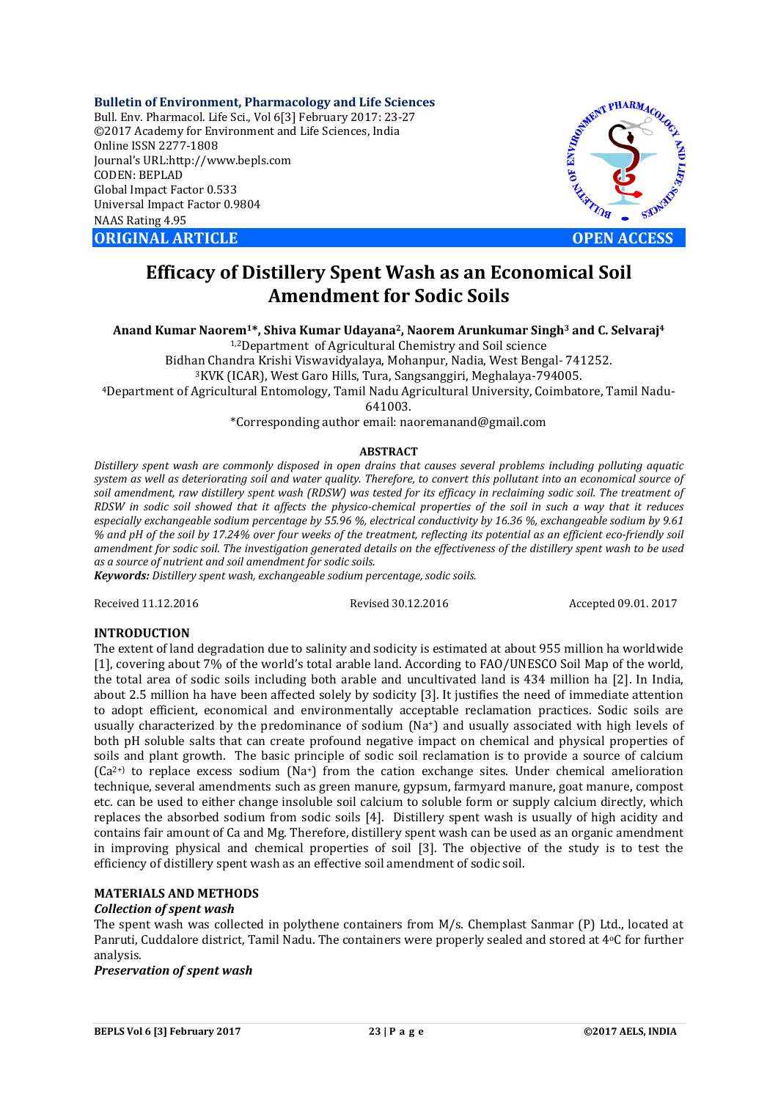**Bulletin of Environment, Pharmacology and Life Sciences** Bull. Env. Pharmacol. Life Sci., Vol 6[3] February 2017: 23-27 ©2017 Academy for Environment and Life Sciences, India Online ISSN 2277-1808 Journal's URL:http://www.bepls.com CODEN: BEPLAD Global Impact Factor 0.533 Universal Impact Factor 0.9804 NAAS Rating 4.95 **ORIGINAL ARTICLE OPEN ACCESS** 



# **Efficacy of Distillery Spent Wash as an Economical Soil Amendment for Sodic Soils**

**Anand Kumar Naorem1\*, Shiva Kumar Udayana2, Naorem Arunkumar Singh3 and C. Selvaraj4**

1,2Department of Agricultural Chemistry and Soil science

Bidhan Chandra Krishi Viswavidyalaya, Mohanpur, Nadia, West Bengal- 741252. 3KVK (ICAR), West Garo Hills, Tura, Sangsanggiri, Meghalaya-794005.

4Department of Agricultural Entomology, Tamil Nadu Agricultural University, Coimbatore, Tamil Nadu-

641003.

\*Corresponding author email: naoremanand@gmail.com

### **ABSTRACT**

*Distillery spent wash are commonly disposed in open drains that causes several problems including polluting aquatic system as well as deteriorating soil and water quality. Therefore, to convert this pollutant into an economical source of soil amendment, raw distillery spent wash (RDSW) was tested for its efficacy in reclaiming sodic soil. The treatment of RDSW in sodic soil showed that it affects the physico-chemical properties of the soil in such a way that it reduces especially exchangeable sodium percentage by 55.96 %, electrical conductivity by 16.36 %, exchangeable sodium by 9.61 % and pH of the soil by 17.24% over four weeks of the treatment, reflecting its potential as an efficient eco-friendly soil amendment for sodic soil. The investigation generated details on the effectiveness of the distillery spent wash to be used as a source of nutrient and soil amendment for sodic soils.*

*Keywords: Distillery spent wash, exchangeable sodium percentage, sodic soils.*

Received 11.12.2016 Revised 30.12.2016 Accepted 09.01. 2017

#### **INTRODUCTION**

The extent of land degradation due to salinity and sodicity is estimated at about 955 million ha worldwide [1], covering about 7% of the world's total arable land. According to FAO/UNESCO Soil Map of the world, the total area of sodic soils including both arable and uncultivated land is 434 million ha [2]. In India, about 2.5 million ha have been affected solely by sodicity [3]. It justifies the need of immediate attention to adopt efficient, economical and environmentally acceptable reclamation practices. Sodic soils are usually characterized by the predominance of sodium (Na+) and usually associated with high levels of both pH soluble salts that can create profound negative impact on chemical and physical properties of soils and plant growth. The basic principle of sodic soil reclamation is to provide a source of calcium  $(Ca^{2+})$  to replace excess sodium  $(Na^+)$  from the cation exchange sites. Under chemical amelioration technique, several amendments such as green manure, gypsum, farmyard manure, goat manure, compost etc. can be used to either change insoluble soil calcium to soluble form or supply calcium directly, which replaces the absorbed sodium from sodic soils [4]. Distillery spent wash is usually of high acidity and contains fair amount of Ca and Mg. Therefore, distillery spent wash can be used as an organic amendment in improving physical and chemical properties of soil [3]. The objective of the study is to test the efficiency of distillery spent wash as an effective soil amendment of sodic soil.

# **MATERIALS AND METHODS**

### *Collection of spent wash*

The spent wash was collected in polythene containers from M/s. Chemplast Sanmar (P) Ltd., located at Panruti, Cuddalore district, Tamil Nadu. The containers were properly sealed and stored at 4oC for further analysis.

*Preservation of spent wash*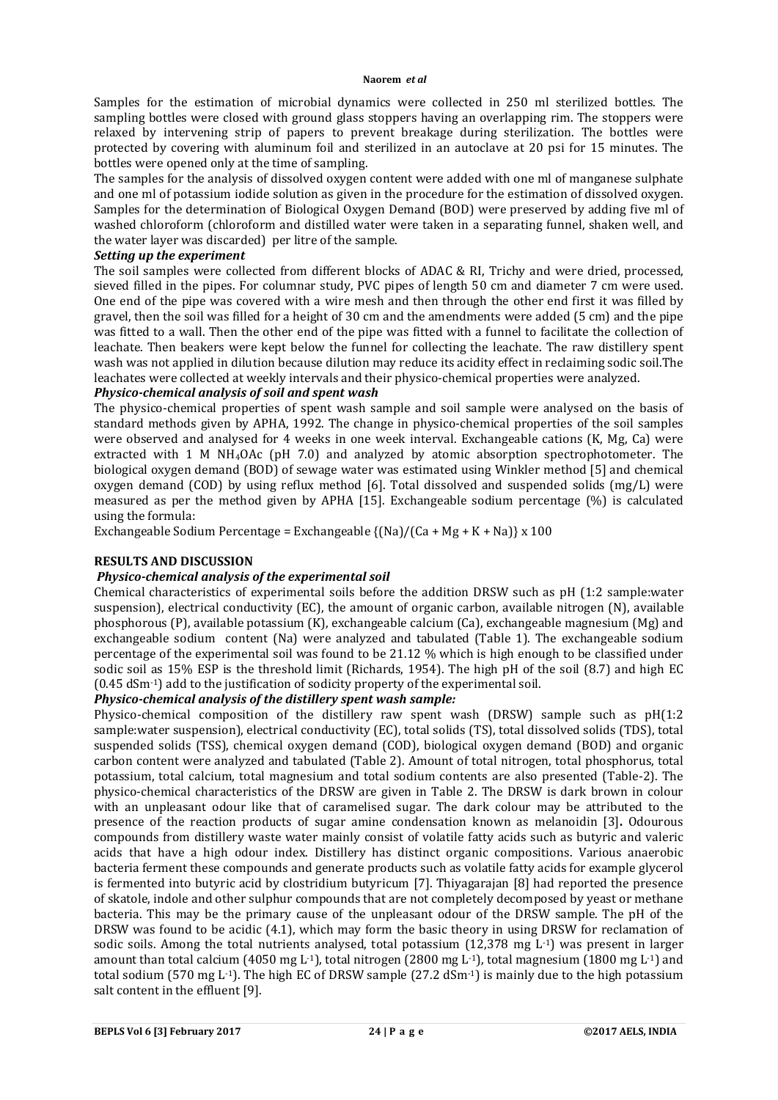Samples for the estimation of microbial dynamics were collected in 250 ml sterilized bottles. The sampling bottles were closed with ground glass stoppers having an overlapping rim. The stoppers were relaxed by intervening strip of papers to prevent breakage during sterilization. The bottles were protected by covering with aluminum foil and sterilized in an autoclave at 20 psi for 15 minutes. The bottles were opened only at the time of sampling.

The samples for the analysis of dissolved oxygen content were added with one ml of manganese sulphate and one ml of potassium iodide solution as given in the procedure for the estimation of dissolved oxygen. Samples for the determination of Biological Oxygen Demand (BOD) were preserved by adding five ml of washed chloroform (chloroform and distilled water were taken in a separating funnel, shaken well, and the water layer was discarded) per litre of the sample.

#### *Setting up the experiment*

The soil samples were collected from different blocks of ADAC & RI, Trichy and were dried, processed, sieved filled in the pipes. For columnar study, PVC pipes of length 50 cm and diameter 7 cm were used. One end of the pipe was covered with a wire mesh and then through the other end first it was filled by gravel, then the soil was filled for a height of 30 cm and the amendments were added (5 cm) and the pipe was fitted to a wall. Then the other end of the pipe was fitted with a funnel to facilitate the collection of leachate. Then beakers were kept below the funnel for collecting the leachate. The raw distillery spent wash was not applied in dilution because dilution may reduce its acidity effect in reclaiming sodic soil.The leachates were collected at weekly intervals and their physico-chemical properties were analyzed.

## *Physico-chemical analysis of soil and spent wash*

The physico-chemical properties of spent wash sample and soil sample were analysed on the basis of standard methods given by APHA, 1992. The change in physico-chemical properties of the soil samples were observed and analysed for 4 weeks in one week interval. Exchangeable cations (K, Mg, Ca) were extracted with 1 M NH4OAc (pH 7.0) and analyzed by atomic absorption spectrophotometer. The biological oxygen demand (BOD) of sewage water was estimated using Winkler method [5] and chemical oxygen demand (COD) by using reflux method [6]. Total dissolved and suspended solids (mg/L) were measured as per the method given by APHA [15]. Exchangeable sodium percentage (%) is calculated using the formula:

Exchangeable Sodium Percentage = Exchangeable  $\{(Na)/(Ca + Mg + K + Na)\}\times 100$ 

## **RESULTS AND DISCUSSION**

## *Physico-chemical analysis of the experimental soil*

Chemical characteristics of experimental soils before the addition DRSW such as pH (1:2 sample:water suspension), electrical conductivity (EC), the amount of organic carbon, available nitrogen (N), available phosphorous (P), available potassium (K), exchangeable calcium (Ca), exchangeable magnesium (Mg) and exchangeable sodium content (Na) were analyzed and tabulated (Table 1). The exchangeable sodium percentage of the experimental soil was found to be 21.12 % which is high enough to be classified under sodic soil as 15% ESP is the threshold limit (Richards, 1954). The high pH of the soil (8.7) and high EC (0.45 dSm-1) add to the justification of sodicity property of the experimental soil.

## *Physico-chemical analysis of the distillery spent wash sample:*

Physico-chemical composition of the distillery raw spent wash (DRSW) sample such as pH(1:2 sample:water suspension), electrical conductivity (EC), total solids (TS), total dissolved solids (TDS), total suspended solids (TSS), chemical oxygen demand (COD), biological oxygen demand (BOD) and organic carbon content were analyzed and tabulated (Table 2). Amount of total nitrogen, total phosphorus, total potassium, total calcium, total magnesium and total sodium contents are also presented (Table-2). The physico-chemical characteristics of the DRSW are given in Table 2. The DRSW is dark brown in colour with an unpleasant odour like that of caramelised sugar. The dark colour may be attributed to the presence of the reaction products of sugar amine condensation known as melanoidin [3]**.** Odourous compounds from distillery waste water mainly consist of volatile fatty acids such as butyric and valeric acids that have a high odour index. Distillery has distinct organic compositions. Various anaerobic bacteria ferment these compounds and generate products such as volatile fatty acids for example glycerol is fermented into butyric acid by clostridium butyricum [7]. Thiyagarajan [8] had reported the presence of skatole, indole and other sulphur compounds that are not completely decomposed by yeast or methane bacteria. This may be the primary cause of the unpleasant odour of the DRSW sample. The pH of the DRSW was found to be acidic (4.1), which may form the basic theory in using DRSW for reclamation of sodic soils. Among the total nutrients analysed, total potassium (12,378 mg L-1) was present in larger amount than total calcium (4050 mg L<sup>-1</sup>), total nitrogen (2800 mg L<sup>-1</sup>), total magnesium (1800 mg L<sup>-1</sup>) and total sodium (570 mg L<sup>-1</sup>). The high EC of DRSW sample (27.2 dSm<sup>-1</sup>) is mainly due to the high potassium salt content in the effluent [9].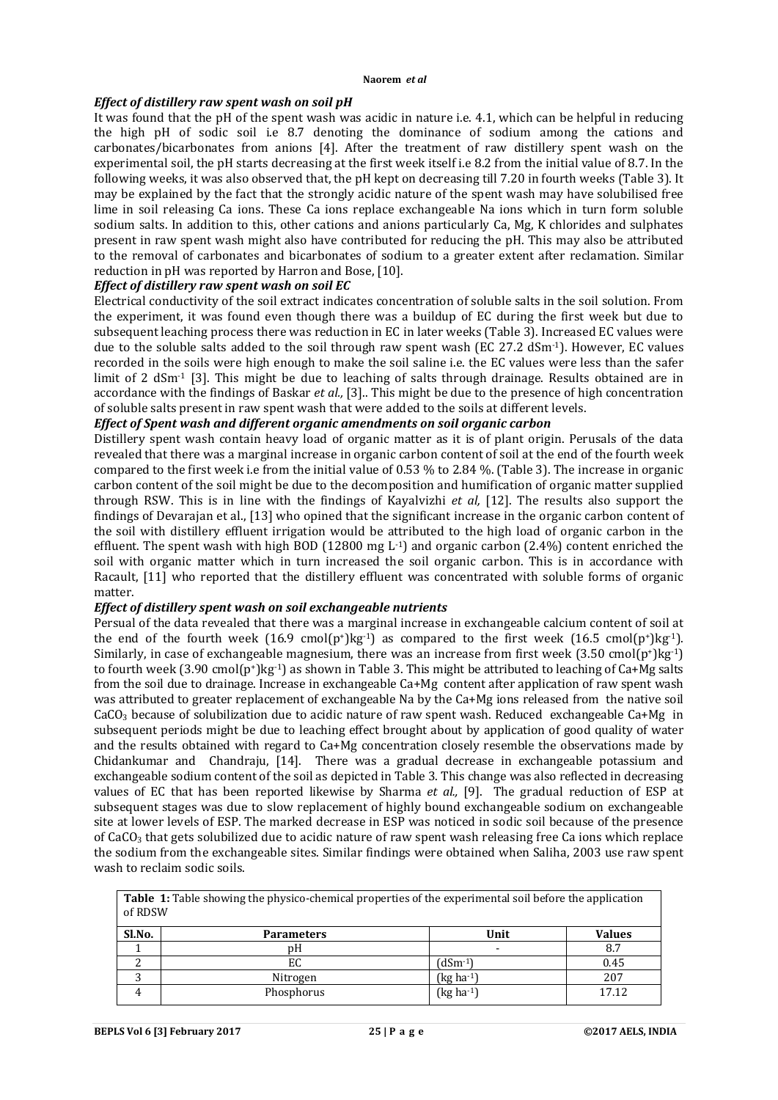#### *Effect of distillery raw spent wash on soil pH*

It was found that the pH of the spent wash was acidic in nature i.e. 4.1, which can be helpful in reducing the high pH of sodic soil i.e 8.7 denoting the dominance of sodium among the cations and carbonates/bicarbonates from anions [4]. After the treatment of raw distillery spent wash on the experimental soil, the pH starts decreasing at the first week itself i.e 8.2 from the initial value of 8.7. In the following weeks, it was also observed that, the pH kept on decreasing till 7.20 in fourth weeks (Table 3). It may be explained by the fact that the strongly acidic nature of the spent wash may have solubilised free lime in soil releasing Ca ions. These Ca ions replace exchangeable Na ions which in turn form soluble sodium salts. In addition to this, other cations and anions particularly Ca, Mg, K chlorides and sulphates present in raw spent wash might also have contributed for reducing the pH. This may also be attributed to the removal of carbonates and bicarbonates of sodium to a greater extent after reclamation. Similar reduction in pH was reported by Harron and Bose, [10].

### *Effect of distillery raw spent wash on soil EC*

Electrical conductivity of the soil extract indicates concentration of soluble salts in the soil solution. From the experiment, it was found even though there was a buildup of EC during the first week but due to subsequent leaching process there was reduction in EC in later weeks (Table 3). Increased EC values were due to the soluble salts added to the soil through raw spent wash (EC 27.2 dSm-1). However, EC values recorded in the soils were high enough to make the soil saline i.e. the EC values were less than the safer limit of 2 dSm<sup>-1</sup> [3]. This might be due to leaching of salts through drainage. Results obtained are in accordance with the findings of Baskar *et al.,* [3].. This might be due to the presence of high concentration of soluble salts present in raw spent wash that were added to the soils at different levels.

### *Effect of Spent wash and different organic amendments on soil organic carbon*

Distillery spent wash contain heavy load of organic matter as it is of plant origin. Perusals of the data revealed that there was a marginal increase in organic carbon content of soil at the end of the fourth week compared to the first week i.e from the initial value of 0.53 % to 2.84 %. (Table 3). The increase in organic carbon content of the soil might be due to the decomposition and humification of organic matter supplied through RSW. This is in line with the findings of Kayalvizhi *et al,* [12]. The results also support the findings of Devarajan et al., [13] who opined that the significant increase in the organic carbon content of the soil with distillery effluent irrigation would be attributed to the high load of organic carbon in the effluent. The spent wash with high BOD (12800 mg  $L^{-1}$ ) and organic carbon (2.4%) content enriched the soil with organic matter which in turn increased the soil organic carbon. This is in accordance with Racault, [11] who reported that the distillery effluent was concentrated with soluble forms of organic matter.

#### *Effect of distillery spent wash on soil exchangeable nutrients*

Persual of the data revealed that there was a marginal increase in exchangeable calcium content of soil at the end of the fourth week  $(16.9 \text{ cmol}(p^*)kg^{-1})$  as compared to the first week  $(16.5 \text{ cmol}(p^*)kg^{-1})$ . Similarly, in case of exchangeable magnesium, there was an increase from first week (3.50 cmol(p+)kg-1) to fourth week (3.90 cmol(p+)kg-1) as shown in Table 3. This might be attributed to leaching of Ca+Mg salts from the soil due to drainage. Increase in exchangeable Ca+Mg content after application of raw spent wash was attributed to greater replacement of exchangeable Na by the Ca+Mg ions released from the native soil  $CaCO<sub>3</sub>$  because of solubilization due to acidic nature of raw spent wash. Reduced exchangeable  $Ca+Mg$  in subsequent periods might be due to leaching effect brought about by application of good quality of water and the results obtained with regard to Ca+Mg concentration closely resemble the observations made by Chidankumar and Chandraju, [14]. There was a gradual decrease in exchangeable potassium and exchangeable sodium content of the soil as depicted in Table 3. This change was also reflected in decreasing values of EC that has been reported likewise by Sharma *et al.,* [9]. The gradual reduction of ESP at subsequent stages was due to slow replacement of highly bound exchangeable sodium on exchangeable site at lower levels of ESP. The marked decrease in ESP was noticed in sodic soil because of the presence of  $CaCO<sub>3</sub>$  that gets solubilized due to acidic nature of raw spent wash releasing free Ca ions which replace the sodium from the exchangeable sites. Similar findings were obtained when Saliha, 2003 use raw spent wash to reclaim sodic soils.

**Table 1:** Table showing the physico-chemical properties of the experimental soil before the application of RDSW

| Sl.No. | <b>Parameters</b> | Unit                     | <b>Values</b> |
|--------|-------------------|--------------------------|---------------|
|        | pΗ                | $\overline{\phantom{a}}$ | 8.7           |
|        | EC                | (dSm-1)                  | 0.45          |
|        | Nitrogen          | (kg ha <sup>-1</sup> )   | 207           |
|        | Phosphorus        | (kg ha-1)                | 17.12         |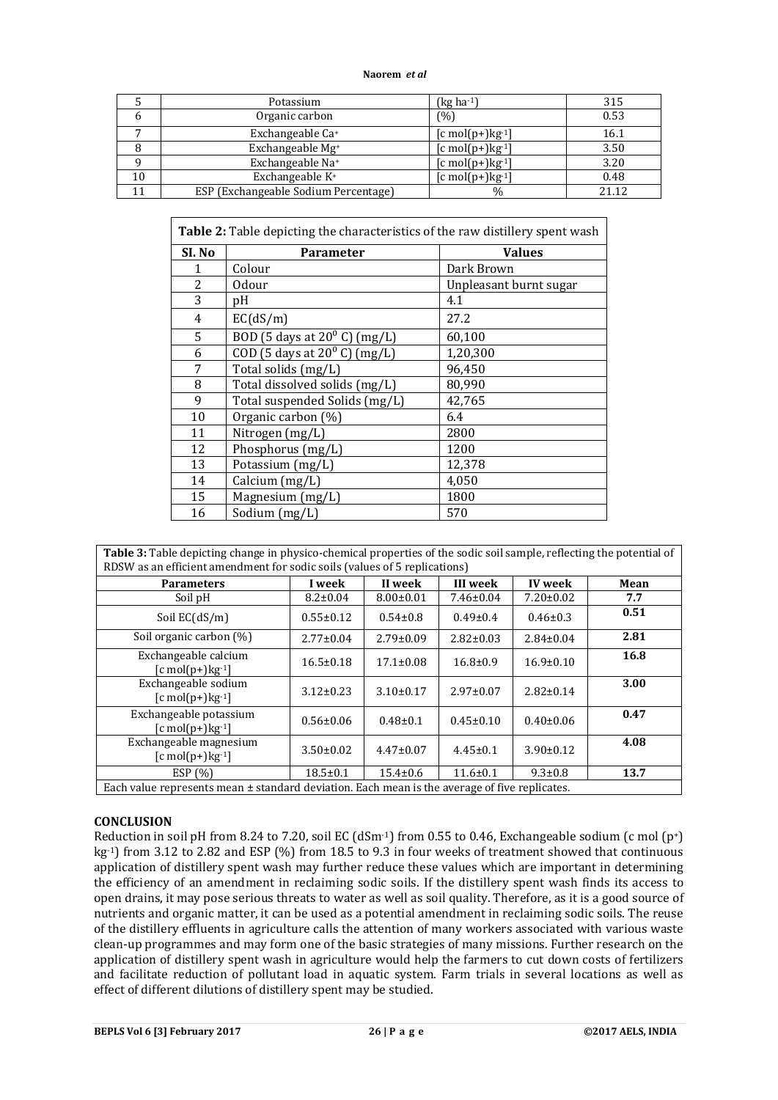|    | Potassium                            | (kg ha <sup>-1</sup> )            | 315   |
|----|--------------------------------------|-----------------------------------|-------|
| h  | Organic carbon                       | (%)                               | 0.53  |
|    | Exchangeable Ca+                     | $[c \text{ mol}(p+)kg^{-1}]$      | 16.1  |
|    | Exchangeable Mg <sup>+</sup>         | $[c \text{ mol}(p+) \text{kg-1}]$ | 3.50  |
|    | Exchangeable Na+                     | $[c \text{ mol}(p+) \text{kg-1}]$ | 3.20  |
| 10 | Exchangeable K <sup>+</sup>          | $[c \text{ mol}(p+) \text{kg-1}]$ | 0.48  |
|    | ESP (Exchangeable Sodium Percentage) | $\%$                              | 21.12 |

| <b>Table 2:</b> Table depicting the characteristics of the raw distillery spent wash |                                       |                        |  |  |  |
|--------------------------------------------------------------------------------------|---------------------------------------|------------------------|--|--|--|
| SI. No                                                                               | <b>Values</b><br><b>Parameter</b>     |                        |  |  |  |
|                                                                                      | Colour                                | Dark Brown             |  |  |  |
| 2                                                                                    | 0dour                                 | Unpleasant burnt sugar |  |  |  |
| 3                                                                                    | pH                                    | 4.1                    |  |  |  |
| 4                                                                                    | EC(dS/m)                              | 27.2                   |  |  |  |
| 5                                                                                    | BOD (5 days at $20^{\circ}$ C) (mg/L) | 60,100                 |  |  |  |
| 6                                                                                    | COD (5 days at $20^{\circ}$ C) (mg/L) | 1,20,300               |  |  |  |
| 7                                                                                    | Total solids (mg/L)                   | 96,450                 |  |  |  |
| 8                                                                                    | Total dissolved solids (mg/L)         | 80,990                 |  |  |  |
| 9                                                                                    | Total suspended Solids (mg/L)         | 42,765                 |  |  |  |
| 10                                                                                   | Organic carbon (%)                    | 6.4                    |  |  |  |
| 11                                                                                   | Nitrogen (mg/L)                       | 2800                   |  |  |  |
| 12                                                                                   | Phosphorus (mg/L)                     | 1200                   |  |  |  |
| 13                                                                                   | Potassium (mg/L)                      | 12,378                 |  |  |  |
| 14                                                                                   | Calcium (mg/L)                        | 4,050                  |  |  |  |
| 15                                                                                   | Magnesium (mg/L)                      | 1800                   |  |  |  |
| 16                                                                                   | Sodium $(mg/L)$                       | 570                    |  |  |  |

| Table 3: Table depicting change in physico-chemical properties of the sodic soil sample, reflecting the potential of<br>RDSW as an efficient amendment for sodic soils (values of 5 replications) |                 |                 |                 |                 |      |  |  |  |
|---------------------------------------------------------------------------------------------------------------------------------------------------------------------------------------------------|-----------------|-----------------|-----------------|-----------------|------|--|--|--|
| <b>Parameters</b>                                                                                                                                                                                 | I week          | II week         | III week        | <b>IV</b> week  | Mean |  |  |  |
| Soil pH                                                                                                                                                                                           | $8.2 \pm 0.04$  | $8.00 \pm 0.01$ | $7.46 \pm 0.04$ | $7.20 \pm 0.02$ | 7.7  |  |  |  |
| Soil $EC(dS/m)$                                                                                                                                                                                   | $0.55 \pm 0.12$ | $0.54 \pm 0.8$  | $0.49 \pm 0.4$  | $0.46 \pm 0.3$  | 0.51 |  |  |  |
| Soil organic carbon (%)                                                                                                                                                                           | $2.77 \pm 0.04$ | $2.79 \pm 0.09$ | $2.82 \pm 0.03$ | $2.84 \pm 0.04$ | 2.81 |  |  |  |
| Exchangeable calcium<br>$[c \text{ mol}(p+) \text{kg-1}]$                                                                                                                                         | $16.5 \pm 0.18$ | $17.1 \pm 0.08$ | $16.8 \pm 0.9$  | $16.9 \pm 0.10$ | 16.8 |  |  |  |
| Exchangeable sodium<br>$[c \text{ mol}(p+)]$                                                                                                                                                      | $3.12 \pm 0.23$ | $3.10\pm0.17$   | $2.97 \pm 0.07$ | $2.82 \pm 0.14$ | 3.00 |  |  |  |
| Exchangeable potassium<br>$[c \text{ mol}(p+)]$                                                                                                                                                   | $0.56 \pm 0.06$ | $0.48 \pm 0.1$  | $0.45 \pm 0.10$ | $0.40\pm0.06$   | 0.47 |  |  |  |
| Exchangeable magnesium<br>$[c \text{ mol}(p+) \text{kg-1}]$                                                                                                                                       | $3.50 \pm 0.02$ | $4.47 \pm 0.07$ | $4.45 \pm 0.1$  | $3.90 \pm 0.12$ | 4.08 |  |  |  |
| ESP(%)<br>Each value represents mean Letendard deviation. Each mean is the everyor of five replicates                                                                                             | $18.5 \pm 0.1$  | $15.4 \pm 0.6$  | $11.6 \pm 0.1$  | $9.3 \pm 0.8$   | 13.7 |  |  |  |

# Each value represents mean ± standard deviation. Each mean is the average of five replicates.

#### **CONCLUSION**

Reduction in soil pH from 8.24 to 7.20, soil EC (dSm<sup>-1</sup>) from 0.55 to 0.46, Exchangeable sodium (c mol (p<sup>+</sup>) kg-1) from 3.12 to 2.82 and ESP (%) from 18.5 to 9.3 in four weeks of treatment showed that continuous application of distillery spent wash may further reduce these values which are important in determining the efficiency of an amendment in reclaiming sodic soils. If the distillery spent wash finds its access to open drains, it may pose serious threats to water as well as soil quality. Therefore, as it is a good source of nutrients and organic matter, it can be used as a potential amendment in reclaiming sodic soils. The reuse of the distillery effluents in agriculture calls the attention of many workers associated with various waste clean-up programmes and may form one of the basic strategies of many missions. Further research on the application of distillery spent wash in agriculture would help the farmers to cut down costs of fertilizers and facilitate reduction of pollutant load in aquatic system. Farm trials in several locations as well as effect of different dilutions of distillery spent may be studied.